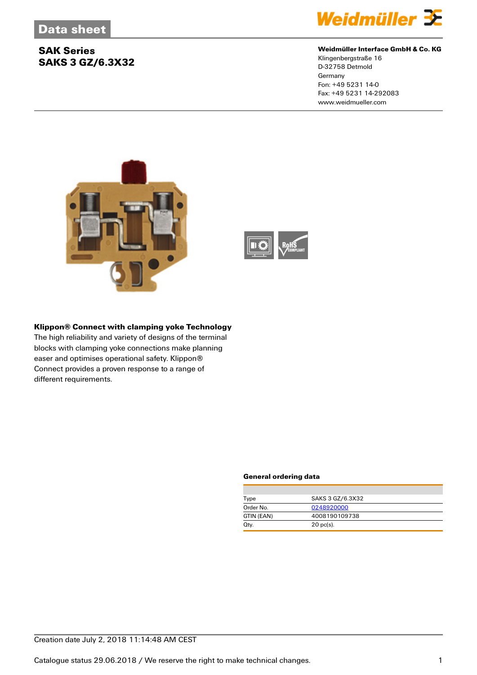## **SAK Series SAKS 3 GZ/6.3X32**



#### **Weidmüller Interface GmbH & Co. KG**

Klingenbergstraße 16 D-32758 Detmold **Germany** Fon: +49 5231 14-0 Fax: +49 5231 14-292083 www.weidmueller.com





#### **Klippon® Connect with clamping yoke Technology**

The high reliability and variety of designs of the terminal blocks with clamping yoke connections make planning easer and optimises operational safety. Klippon® Connect provides a proven response to a range of different requirements.

#### **General ordering data**

| Type       | SAKS 3 GZ/6.3X32 |  |
|------------|------------------|--|
| Order No.  | 0248920000       |  |
| GTIN (EAN) | 4008190109738    |  |
| Qty.       | $20$ pc(s).      |  |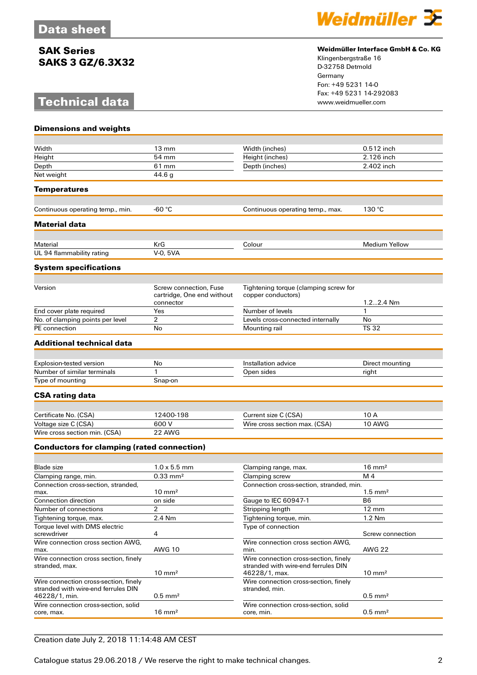### **SAK Series SAKS 3 GZ/6.3X32**

# **Technical data**



#### **Weidmüller Interface GmbH & Co. KG**

Klingenbergstraße 16 D-32758 Detmold Germany Fon: +49 5231 14-0 Fax: +49 5231 14-292083

| <b>Dimensions and weights</b>                      |                                                                   |                                                             |                       |
|----------------------------------------------------|-------------------------------------------------------------------|-------------------------------------------------------------|-----------------------|
|                                                    |                                                                   |                                                             |                       |
| Width                                              | $13 \text{ mm}$                                                   | Width (inches)                                              | 0.512 inch            |
| Height                                             | 54 mm                                                             | Height (inches)                                             | 2.126 inch            |
| Depth                                              | 61 mm                                                             | Depth (inches)                                              | 2.402 inch            |
| Net weight                                         | 44.6 g                                                            |                                                             |                       |
| Temperatures                                       |                                                                   |                                                             |                       |
| Continuous operating temp., min.                   | -60 $\degree$ C                                                   | Continuous operating temp., max.                            | 130 °C                |
| <b>Material data</b>                               |                                                                   |                                                             |                       |
|                                                    |                                                                   |                                                             |                       |
| Material                                           | KrG                                                               | Colour                                                      | <b>Medium Yellow</b>  |
| UL 94 flammability rating                          | V-0, 5VA                                                          |                                                             |                       |
| <b>System specifications</b>                       |                                                                   |                                                             |                       |
|                                                    |                                                                   |                                                             |                       |
| Version                                            | Screw connection, Fuse<br>cartridge, One end without<br>connector | Tightening torque (clamping screw for<br>copper conductors) | 1.22.4 Nm             |
| End cover plate required                           | Yes                                                               | Number of levels                                            | 1                     |
| No. of clamping points per level                   | 2                                                                 | Levels cross-connected internally                           | No                    |
| PE connection                                      | No                                                                | Mounting rail                                               | <b>TS 32</b>          |
|                                                    |                                                                   |                                                             |                       |
| Additional technical data                          |                                                                   |                                                             |                       |
| Explosion-tested version                           | No                                                                | Installation advice                                         | Direct mounting       |
| Number of similar terminals                        | 1                                                                 | Open sides                                                  | right                 |
| Type of mounting                                   | Snap-on                                                           |                                                             |                       |
| <b>CSA rating data</b>                             |                                                                   |                                                             |                       |
|                                                    |                                                                   |                                                             |                       |
| Certificate No. (CSA)                              | 12400-198                                                         | Current size C (CSA)                                        | 10 A                  |
| Voltage size C (CSA)                               | 600 V                                                             | Wire cross section max. (CSA)                               | 10 AWG                |
| Wire cross section min. (CSA)                      | 22 AWG                                                            |                                                             |                       |
| <b>Conductors for clamping (rated connection)</b>  |                                                                   |                                                             |                       |
| Blade size                                         | $1.0 \times 5.5$ mm                                               | Clamping range, max.                                        | $16 \text{ mm}^2$     |
| Clamping range, min.                               | $0.33 \text{ mm}^2$                                               | Clamping screw                                              | M 4                   |
| Connection cross-section, stranded,                |                                                                   | Connection cross-section, stranded, min.                    |                       |
| max.                                               | $10 \text{ mm}^2$                                                 |                                                             | $1.5$ mm <sup>2</sup> |
| <b>Connection direction</b>                        | on side                                                           | Gauge to IEC 60947-1                                        | B <sub>6</sub>        |
| Number of connections                              | 2                                                                 | Stripping length                                            | 12 mm                 |
| Tightening torque, max.                            | 2.4 Nm                                                            | Tightening torque, min.                                     | 1.2 Nm                |
| Torque level with DMS electric                     |                                                                   | Type of connection                                          |                       |
| screwdriver                                        | 4                                                                 |                                                             | Screw connection      |
| Wire connection cross section AWG,<br>max.         | <b>AWG 10</b>                                                     | Wire connection cross section AWG,<br>min.                  | <b>AWG 22</b>         |
| Wire connection cross section, finely              |                                                                   | Wire connection cross-section, finely                       |                       |
| stranded, max.                                     | $10 \text{ mm}^2$                                                 | stranded with wire-end ferrules DIN<br>46228/1, max.        | $10 \text{ mm}^2$     |
| Wire connection cross-section, finely              |                                                                   | Wire connection cross-section, finely                       |                       |
| stranded with wire-end ferrules DIN                |                                                                   | stranded, min.                                              |                       |
| 46228/1, min.                                      | $0.5$ mm <sup>2</sup>                                             |                                                             | $0.5$ mm <sup>2</sup> |
| Wire connection cross-section, solid<br>core, max. | $16 \text{ mm}^2$                                                 | Wire connection cross-section, solid<br>core, min.          | $0.5$ mm <sup>2</sup> |
|                                                    |                                                                   |                                                             |                       |

### Creation date July 2, 2018 11:14:48 AM CEST